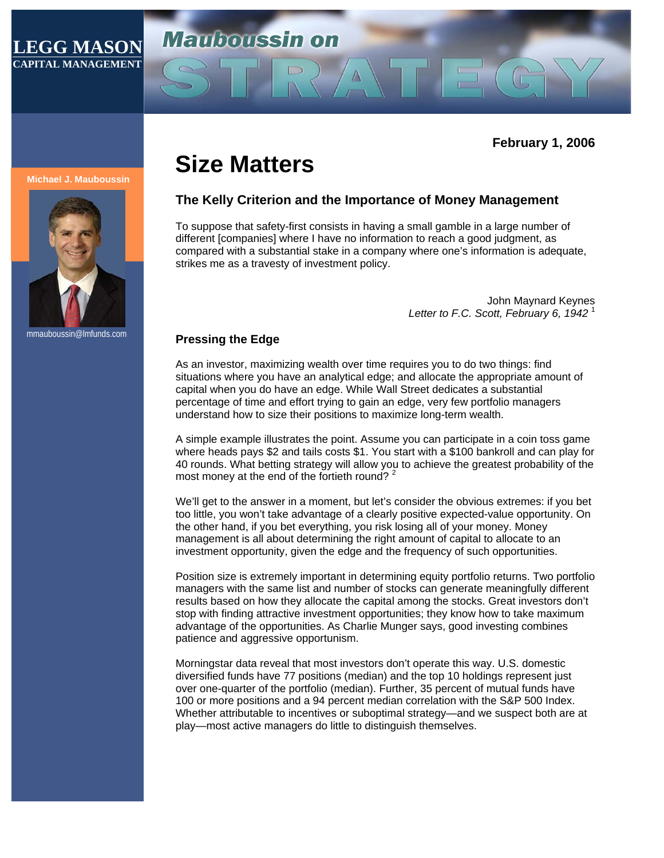### **LEGG MASON CAPITAL MANAGEMENT**

# **Mariboussin on**

**February 1, 2006** 

#### **Michael J. Mauboussin**



mmauboussin@lmfunds.com

## **Size Matters**

#### **The Kelly Criterion and the Importance of Money Management**

To suppose that safety-first consists in having a small gamble in a large number of different [companies] where I have no information to reach a good judgment, as compared with a substantial stake in a company where one's information is adequate, strikes me as a travesty of investment policy.

> John Maynard Keynes *Letter to F.C. Scott, February 6, 1942* <sup>1</sup>

#### **Pressing the Edge**

As an investor, maximizing wealth over time requires you to do two things: find situations where you have an analytical edge; and allocate the appropriate amount of capital when you do have an edge. While Wall Street dedicates a substantial percentage of time and effort trying to gain an edge, very few portfolio managers understand how to size their positions to maximize long-term wealth.

A simple example illustrates the point. Assume you can participate in a coin toss game where heads pays \$2 and tails costs \$1. You start with a \$100 bankroll and can play for 40 rounds. What betting strategy will allow you to achieve the greatest probability of the most money at the end of the fortieth round?  $2^2$ 

We'll get to the answer in a moment, but let's consider the obvious extremes: if you bet too little, you won't take advantage of a clearly positive expected-value opportunity. On the other hand, if you bet everything, you risk losing all of your money. Money management is all about determining the right amount of capital to allocate to an investment opportunity, given the edge and the frequency of such opportunities.

Position size is extremely important in determining equity portfolio returns. Two portfolio managers with the same list and number of stocks can generate meaningfully different results based on how they allocate the capital among the stocks. Great investors don't stop with finding attractive investment opportunities; they know how to take maximum advantage of the opportunities. As Charlie Munger says, good investing combines patience and aggressive opportunism.

Morningstar data reveal that most investors don't operate this way. U.S. domestic diversified funds have 77 positions (median) and the top 10 holdings represent just over one-quarter of the portfolio (median). Further, 35 percent of mutual funds have 100 or more positions and a 94 percent median correlation with the S&P 500 Index. Whether attributable to incentives or suboptimal strategy—and we suspect both are at play—most active managers do little to distinguish themselves.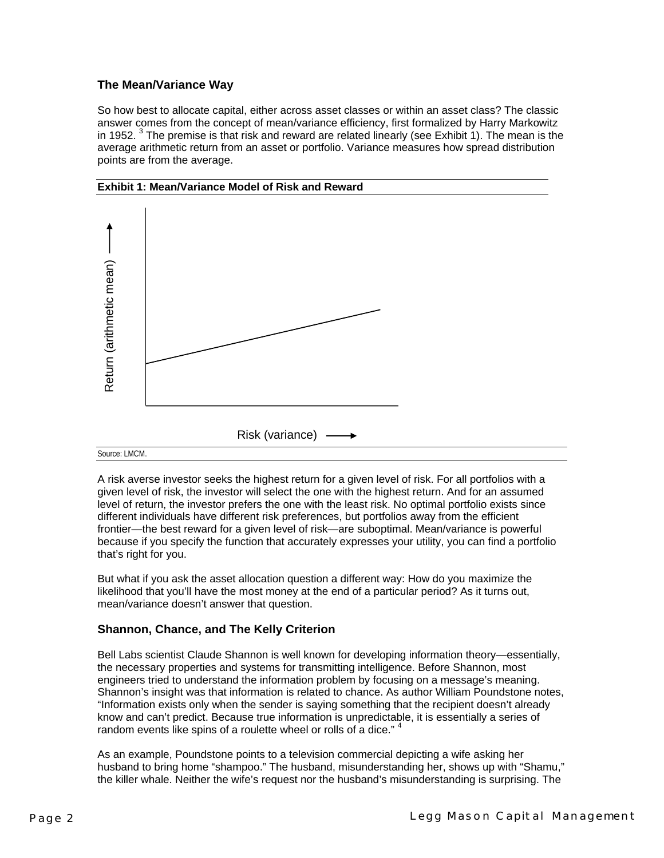#### **The Mean/Variance Way**

So how best to allocate capital, either across asset classes or within an asset class? The classic answer comes from the concept of mean/variance efficiency, first formalized by Harry Markowitz in 1952.  $3$  The premise is that risk and reward are related linearly (see Exhibit 1). The mean is the average arithmetic return from an asset or portfolio. Variance measures how spread distribution points are from the average.





A risk averse investor seeks the highest return for a given level of risk. For all portfolios with a given level of risk, the investor will select the one with the highest return. And for an assumed level of return, the investor prefers the one with the least risk. No optimal portfolio exists since different individuals have different risk preferences, but portfolios away from the efficient frontier—the best reward for a given level of risk—are suboptimal. Mean/variance is powerful because if you specify the function that accurately expresses your utility, you can find a portfolio that's right for you.

But what if you ask the asset allocation question a different way: How do you maximize the likelihood that you'll have the most money at the end of a particular period? As it turns out, mean/variance doesn't answer that question.

#### **Shannon, Chance, and The Kelly Criterion**

Bell Labs scientist Claude Shannon is well known for developing information theory—essentially, the necessary properties and systems for transmitting intelligence. Before Shannon, most engineers tried to understand the information problem by focusing on a message's meaning. Shannon's insight was that information is related to chance. As author William Poundstone notes, "Information exists only when the sender is saying something that the recipient doesn't already know and can't predict. Because true information is unpredictable, it is essentially a series of random events like spins of a roulette wheel or rolls of a dice."<sup>4</sup>

As an example, Poundstone points to a television commercial depicting a wife asking her husband to bring home "shampoo." The husband, misunderstanding her, shows up with "Shamu," the killer whale. Neither the wife's request nor the husband's misunderstanding is surprising. The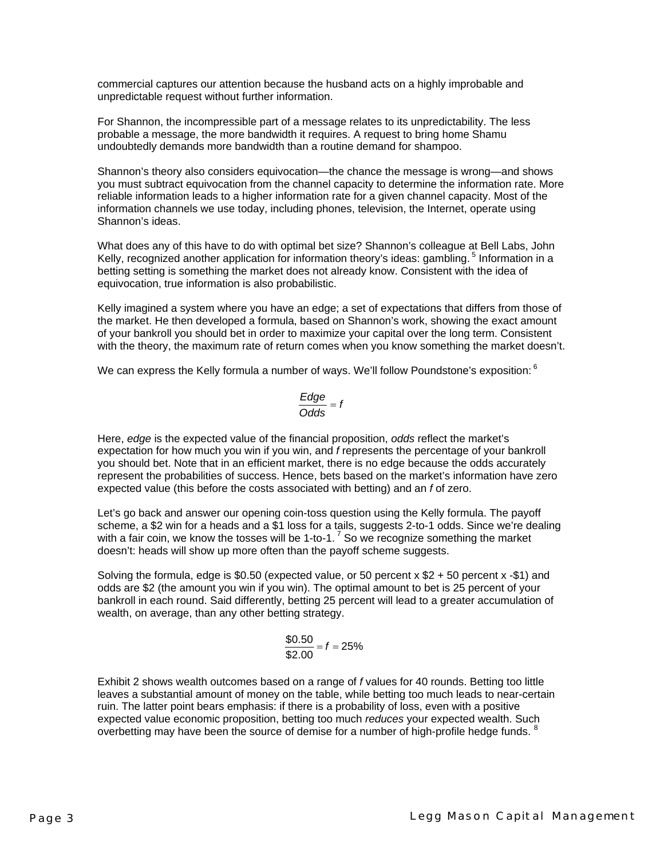commercial captures our attention because the husband acts on a highly improbable and unpredictable request without further information.

For Shannon, the incompressible part of a message relates to its unpredictability. The less probable a message, the more bandwidth it requires. A request to bring home Shamu undoubtedly demands more bandwidth than a routine demand for shampoo.

Shannon's theory also considers equivocation—the chance the message is wrong—and shows you must subtract equivocation from the channel capacity to determine the information rate. More reliable information leads to a higher information rate for a given channel capacity. Most of the information channels we use today, including phones, television, the Internet, operate using Shannon's ideas.

What does any of this have to do with optimal bet size? Shannon's colleague at Bell Labs, John Kelly, recognized another application for information theory's ideas: gambling.<sup>5</sup> Information in a betting setting is something the market does not already know. Consistent with the idea of equivocation, true information is also probabilistic.

Kelly imagined a system where you have an edge; a set of expectations that differs from those of the market. He then developed a formula, based on Shannon's work, showing the exact amount of your bankroll you should bet in order to maximize your capital over the long term. Consistent with the theory, the maximum rate of return comes when you know something the market doesn't.

We can express the Kelly formula a number of ways. We'll follow Poundstone's exposition: 6

$$
\frac{\text{Edge}}{\text{Odds}} = f
$$

Here, *edge* is the expected value of the financial proposition, *odds* reflect the market's expectation for how much you win if you win, and *f* represents the percentage of your bankroll you should bet. Note that in an efficient market, there is no edge because the odds accurately represent the probabilities of success. Hence, bets based on the market's information have zero expected value (this before the costs associated with betting) and an *f* of zero.

Let's go back and answer our opening coin-toss question using the Kelly formula. The payoff scheme, a \$2 win for a heads and a \$1 loss for a tails, suggests 2-to-1 odds. Since we're dealing with a fair coin, we know the tosses will be 1-to-1.<sup>7</sup> So we recognize something the market doesn't: heads will show up more often than the payoff scheme suggests.

Solving the formula, edge is \$0.50 (expected value, or 50 percent  $x$  \$2 + 50 percent  $x - $1$ ) and odds are \$2 (the amount you win if you win). The optimal amount to bet is 25 percent of your bankroll in each round. Said differently, betting 25 percent will lead to a greater accumulation of wealth, on average, than any other betting strategy.

$$
\frac{$0.50}{$2.00} = f = 25\%
$$

Exhibit 2 shows wealth outcomes based on a range of *f* values for 40 rounds. Betting too little leaves a substantial amount of money on the table, while betting too much leads to near-certain ruin. The latter point bears emphasis: if there is a probability of loss, even with a positive expected value economic proposition, betting too much *reduces* your expected wealth. Such overbetting may have been the source of demise for a number of high-profile hedge funds.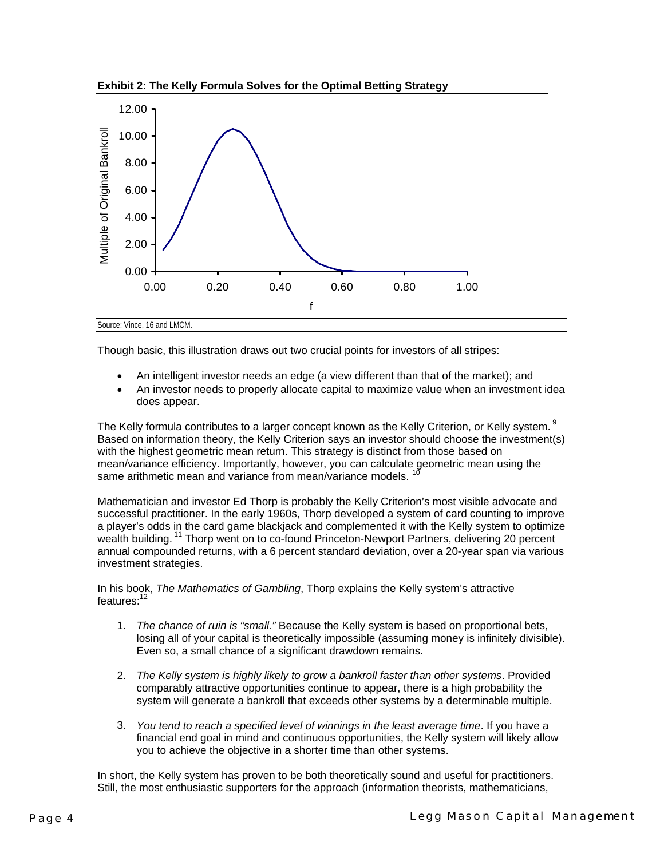



Though basic, this illustration draws out two crucial points for investors of all stripes:

- An intelligent investor needs an edge (a view different than that of the market); and
- An investor needs to properly allocate capital to maximize value when an investment idea does appear.

The Kelly formula contributes to a larger concept known as the Kelly Criterion, or Kelly system. <sup>9</sup> Based on information theory, the Kelly Criterion says an investor should choose the investment(s) with the highest geometric mean return. This strategy is distinct from those based on mean/variance efficiency. Importantly, however, you can calculate geometric mean using the same arithmetic mean and variance from mean/variance models.

Mathematician and investor Ed Thorp is probably the Kelly Criterion's most visible advocate and successful practitioner. In the early 1960s, Thorp developed a system of card counting to improve a player's odds in the card game blackjack and complemented it with the Kelly system to optimize wealth building.<sup>11</sup> Thorp went on to co-found Princeton-Newport Partners, delivering 20 percent annual compounded returns, with a 6 percent standard deviation, over a 20-year span via various investment strategies.

In his book, *The Mathematics of Gambling*, Thorp explains the Kelly system's attractive features:<sup>12</sup>

- 1. *The chance of ruin is "small."* Because the Kelly system is based on proportional bets, losing all of your capital is theoretically impossible (assuming money is infinitely divisible). Even so, a small chance of a significant drawdown remains.
- 2. *The Kelly system is highly likely to grow a bankroll faster than other systems*. Provided comparably attractive opportunities continue to appear, there is a high probability the system will generate a bankroll that exceeds other systems by a determinable multiple.
- 3. *You tend to reach a specified level of winnings in the least average time*. If you have a financial end goal in mind and continuous opportunities, the Kelly system will likely allow you to achieve the objective in a shorter time than other systems.

In short, the Kelly system has proven to be both theoretically sound and useful for practitioners. Still, the most enthusiastic supporters for the approach (information theorists, mathematicians,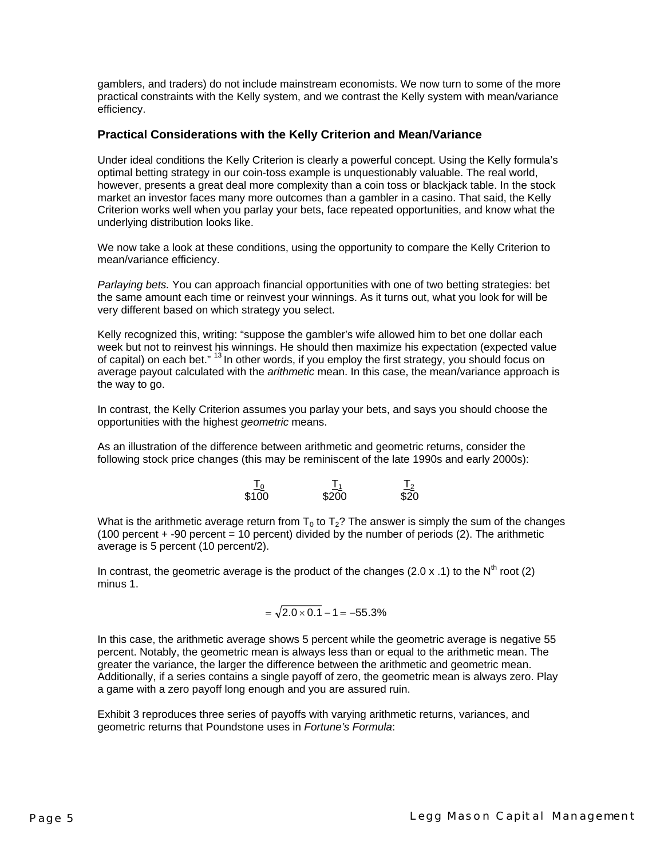gamblers, and traders) do not include mainstream economists. We now turn to some of the more practical constraints with the Kelly system, and we contrast the Kelly system with mean/variance efficiency.

#### **Practical Considerations with the Kelly Criterion and Mean/Variance**

Under ideal conditions the Kelly Criterion is clearly a powerful concept. Using the Kelly formula's optimal betting strategy in our coin-toss example is unquestionably valuable. The real world, however, presents a great deal more complexity than a coin toss or blackjack table. In the stock market an investor faces many more outcomes than a gambler in a casino. That said, the Kelly Criterion works well when you parlay your bets, face repeated opportunities, and know what the underlying distribution looks like.

We now take a look at these conditions, using the opportunity to compare the Kelly Criterion to mean/variance efficiency.

*Parlaying bets.* You can approach financial opportunities with one of two betting strategies: bet the same amount each time or reinvest your winnings. As it turns out, what you look for will be very different based on which strategy you select.

Kelly recognized this, writing: "suppose the gambler's wife allowed him to bet one dollar each week but not to reinvest his winnings. He should then maximize his expectation (expected value of capital) on each bet." <sup>13</sup> In other words, if you employ the first strategy, you should focus on average payout calculated with the *arithmetic* mean. In this case, the mean/variance approach is the way to go.

In contrast, the Kelly Criterion assumes you parlay your bets, and says you should choose the opportunities with the highest *geometric* means.

As an illustration of the difference between arithmetic and geometric returns, consider the following stock price changes (this may be reminiscent of the late 1990s and early 2000s):

| $\frac{10}{2}$ | $\frac{11}{2}$ | $\sqrt{2}$<br>∸≤ |
|----------------|----------------|------------------|
| \$100          | \$200          | \$20             |

What is the arithmetic average return from  $T_0$  to  $T_2$ ? The answer is simply the sum of the changes  $(100$  percent  $+$  -90 percent = 10 percent) divided by the number of periods  $(2)$ . The arithmetic average is 5 percent (10 percent/2).

In contrast, the geometric average is the product of the changes (2.0 x .1) to the  $N^{th}$  root (2) minus 1.

$$
= \sqrt{2.0 \times 0.1} - 1 = -55.3\%
$$

In this case, the arithmetic average shows 5 percent while the geometric average is negative 55 percent. Notably, the geometric mean is always less than or equal to the arithmetic mean. The greater the variance, the larger the difference between the arithmetic and geometric mean. Additionally, if a series contains a single payoff of zero, the geometric mean is always zero. Play a game with a zero payoff long enough and you are assured ruin.

Exhibit 3 reproduces three series of payoffs with varying arithmetic returns, variances, and geometric returns that Poundstone uses in *Fortune's Formula*: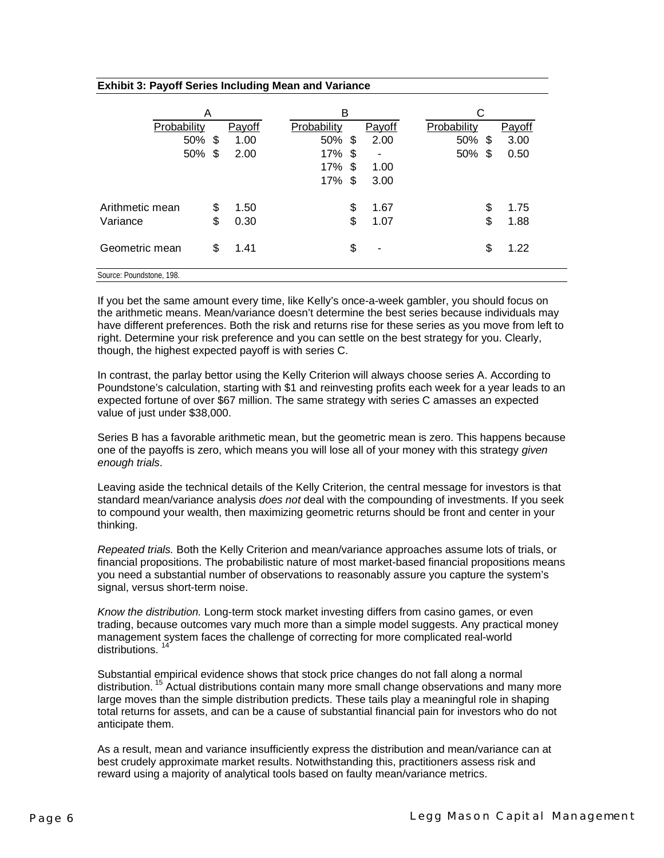| <b>Exhibit 3: Payoff Series Including Mean and Variance</b> |
|-------------------------------------------------------------|
|-------------------------------------------------------------|

|                          | A  |        | в           |      |        | С           |    |        |
|--------------------------|----|--------|-------------|------|--------|-------------|----|--------|
| Probability              |    | Payoff | Probability |      | Payoff | Probability |    | Payoff |
| 50%                      | \$ | 1.00   | 50%         | \$   | 2.00   | 50%         | S  | 3.00   |
| 50%                      | \$ | 2.00   | 17%         | - \$ | ٠      | 50%         | \$ | 0.50   |
|                          |    |        | 17%         | \$   | 1.00   |             |    |        |
|                          |    |        | 17%         | \$   | 3.00   |             |    |        |
| Arithmetic mean          | \$ | 1.50   |             | \$   | 1.67   |             | \$ | 1.75   |
| Variance                 | \$ | 0.30   |             | \$   | 1.07   |             | \$ | 1.88   |
| Geometric mean           | \$ | 1.41   |             | \$   | ۰      |             | \$ | 1.22   |
| Source: Poundstone, 198. |    |        |             |      |        |             |    |        |

If you bet the same amount every time, like Kelly's once-a-week gambler, you should focus on the arithmetic means. Mean/variance doesn't determine the best series because individuals may have different preferences. Both the risk and returns rise for these series as you move from left to right. Determine your risk preference and you can settle on the best strategy for you. Clearly, though, the highest expected payoff is with series C.

In contrast, the parlay bettor using the Kelly Criterion will always choose series A. According to Poundstone's calculation, starting with \$1 and reinvesting profits each week for a year leads to an expected fortune of over \$67 million. The same strategy with series C amasses an expected value of just under \$38,000.

Series B has a favorable arithmetic mean, but the geometric mean is zero. This happens because one of the payoffs is zero, which means you will lose all of your money with this strategy *given enough trials*.

Leaving aside the technical details of the Kelly Criterion, the central message for investors is that standard mean/variance analysis *does not* deal with the compounding of investments. If you seek to compound your wealth, then maximizing geometric returns should be front and center in your thinking.

*Repeated trials.* Both the Kelly Criterion and mean/variance approaches assume lots of trials, or financial propositions. The probabilistic nature of most market-based financial propositions means you need a substantial number of observations to reasonably assure you capture the system's signal, versus short-term noise.

*Know the distribution.* Long-term stock market investing differs from casino games, or even trading, because outcomes vary much more than a simple model suggests. Any practical money management system faces the challenge of correcting for more complicated real-world distributions.

Substantial empirical evidence shows that stock price changes do not fall along a normal distribution.<sup>15</sup> Actual distributions contain many more small change observations and many more large moves than the simple distribution predicts. These tails play a meaningful role in shaping total returns for assets, and can be a cause of substantial financial pain for investors who do not anticipate them.

As a result, mean and variance insufficiently express the distribution and mean/variance can at best crudely approximate market results. Notwithstanding this, practitioners assess risk and reward using a majority of analytical tools based on faulty mean/variance metrics.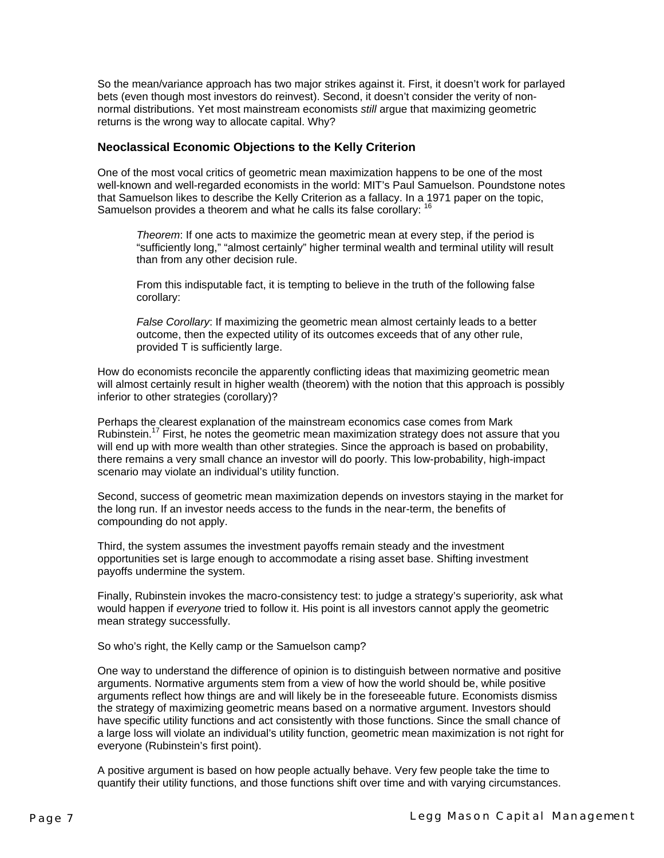So the mean/variance approach has two major strikes against it. First, it doesn't work for parlayed bets (even though most investors do reinvest). Second, it doesn't consider the verity of nonnormal distributions. Yet most mainstream economists *still* argue that maximizing geometric returns is the wrong way to allocate capital. Why?

#### **Neoclassical Economic Objections to the Kelly Criterion**

One of the most vocal critics of geometric mean maximization happens to be one of the most well-known and well-regarded economists in the world: MIT's Paul Samuelson. Poundstone notes that Samuelson likes to describe the Kelly Criterion as a fallacy. In a 1971 paper on the topic, Samuelson provides a theorem and what he calls its false corollary: <sup>16</sup>

*Theorem*: If one acts to maximize the geometric mean at every step, if the period is "sufficiently long," "almost certainly" higher terminal wealth and terminal utility will result than from any other decision rule.

From this indisputable fact, it is tempting to believe in the truth of the following false corollary:

*False Corollary*: If maximizing the geometric mean almost certainly leads to a better outcome, then the expected utility of its outcomes exceeds that of any other rule, provided T is sufficiently large.

How do economists reconcile the apparently conflicting ideas that maximizing geometric mean will almost certainly result in higher wealth (theorem) with the notion that this approach is possibly inferior to other strategies (corollary)?

Perhaps the clearest explanation of the mainstream economics case comes from Mark Rubinstein.<sup>17</sup> First, he notes the geometric mean maximization strategy does not assure that you will end up with more wealth than other strategies. Since the approach is based on probability, there remains a very small chance an investor will do poorly. This low-probability, high-impact scenario may violate an individual's utility function.

Second, success of geometric mean maximization depends on investors staying in the market for the long run. If an investor needs access to the funds in the near-term, the benefits of compounding do not apply.

Third, the system assumes the investment payoffs remain steady and the investment opportunities set is large enough to accommodate a rising asset base. Shifting investment payoffs undermine the system.

Finally, Rubinstein invokes the macro-consistency test: to judge a strategy's superiority, ask what would happen if *everyone* tried to follow it. His point is all investors cannot apply the geometric mean strategy successfully.

So who's right, the Kelly camp or the Samuelson camp?

One way to understand the difference of opinion is to distinguish between normative and positive arguments. Normative arguments stem from a view of how the world should be, while positive arguments reflect how things are and will likely be in the foreseeable future. Economists dismiss the strategy of maximizing geometric means based on a normative argument. Investors should have specific utility functions and act consistently with those functions. Since the small chance of a large loss will violate an individual's utility function, geometric mean maximization is not right for everyone (Rubinstein's first point).

A positive argument is based on how people actually behave. Very few people take the time to quantify their utility functions, and those functions shift over time and with varying circumstances.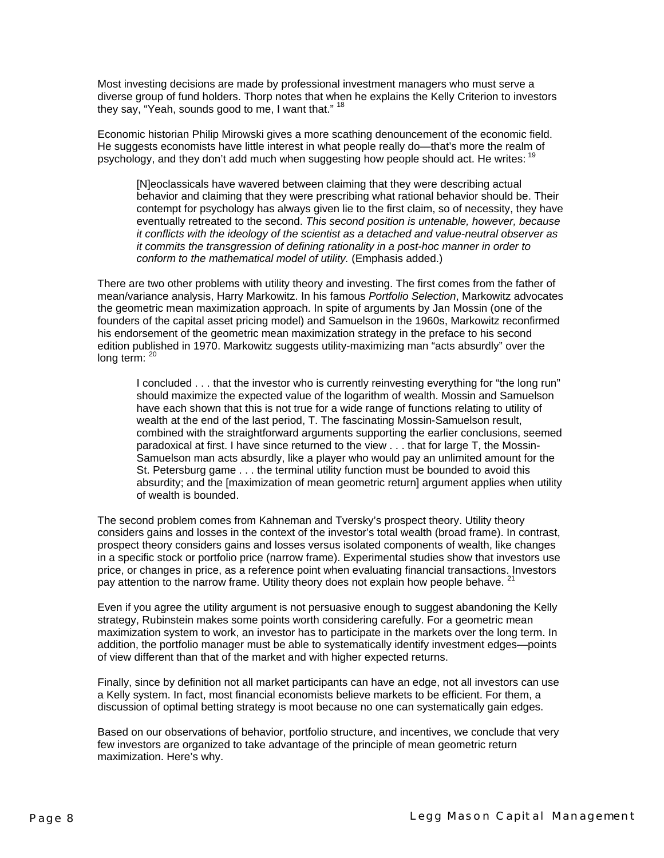Most investing decisions are made by professional investment managers who must serve a diverse group of fund holders. Thorp notes that when he explains the Kelly Criterion to investors they say, "Yeah, sounds good to me, I want that." <sup>18</sup>

Economic historian Philip Mirowski gives a more scathing denouncement of the economic field. He suggests economists have little interest in what people really do—that's more the realm of psychology, and they don't add much when suggesting how people should act. He writes:  $19$ 

[N]eoclassicals have wavered between claiming that they were describing actual behavior and claiming that they were prescribing what rational behavior should be. Their contempt for psychology has always given lie to the first claim, so of necessity, they have eventually retreated to the second. *This second position is untenable, however, because it conflicts with the ideology of the scientist as a detached and value-neutral observer as it commits the transgression of defining rationality in a post-hoc manner in order to conform to the mathematical model of utility.* (Emphasis added.)

There are two other problems with utility theory and investing. The first comes from the father of mean/variance analysis, Harry Markowitz. In his famous *Portfolio Selection*, Markowitz advocates the geometric mean maximization approach. In spite of arguments by Jan Mossin (one of the founders of the capital asset pricing model) and Samuelson in the 1960s, Markowitz reconfirmed his endorsement of the geometric mean maximization strategy in the preface to his second edition published in 1970. Markowitz suggests utility-maximizing man "acts absurdly" over the long term:  $20$ 

I concluded . . . that the investor who is currently reinvesting everything for "the long run" should maximize the expected value of the logarithm of wealth. Mossin and Samuelson have each shown that this is not true for a wide range of functions relating to utility of wealth at the end of the last period, T. The fascinating Mossin-Samuelson result, combined with the straightforward arguments supporting the earlier conclusions, seemed paradoxical at first. I have since returned to the view . . . that for large T, the Mossin-Samuelson man acts absurdly, like a player who would pay an unlimited amount for the St. Petersburg game . . . the terminal utility function must be bounded to avoid this absurdity; and the [maximization of mean geometric return] argument applies when utility of wealth is bounded.

The second problem comes from Kahneman and Tversky's prospect theory. Utility theory considers gains and losses in the context of the investor's total wealth (broad frame). In contrast, prospect theory considers gains and losses versus isolated components of wealth, like changes in a specific stock or portfolio price (narrow frame). Experimental studies show that investors use price, or changes in price, as a reference point when evaluating financial transactions. Investors pay attention to the narrow frame. Utility theory does not explain how people behave. <sup>21</sup>

Even if you agree the utility argument is not persuasive enough to suggest abandoning the Kelly strategy, Rubinstein makes some points worth considering carefully. For a geometric mean maximization system to work, an investor has to participate in the markets over the long term. In addition, the portfolio manager must be able to systematically identify investment edges—points of view different than that of the market and with higher expected returns.

Finally, since by definition not all market participants can have an edge, not all investors can use a Kelly system. In fact, most financial economists believe markets to be efficient. For them, a discussion of optimal betting strategy is moot because no one can systematically gain edges.

Based on our observations of behavior, portfolio structure, and incentives, we conclude that very few investors are organized to take advantage of the principle of mean geometric return maximization. Here's why.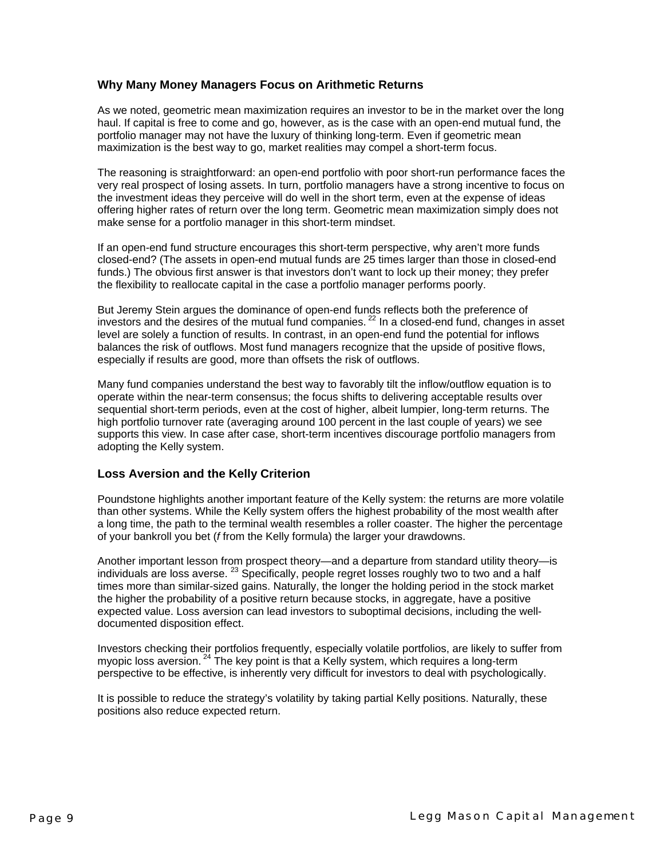#### **Why Many Money Managers Focus on Arithmetic Returns**

As we noted, geometric mean maximization requires an investor to be in the market over the long haul. If capital is free to come and go, however, as is the case with an open-end mutual fund, the portfolio manager may not have the luxury of thinking long-term. Even if geometric mean maximization is the best way to go, market realities may compel a short-term focus.

The reasoning is straightforward: an open-end portfolio with poor short-run performance faces the very real prospect of losing assets. In turn, portfolio managers have a strong incentive to focus on the investment ideas they perceive will do well in the short term, even at the expense of ideas offering higher rates of return over the long term. Geometric mean maximization simply does not make sense for a portfolio manager in this short-term mindset.

If an open-end fund structure encourages this short-term perspective, why aren't more funds closed-end? (The assets in open-end mutual funds are 25 times larger than those in closed-end funds.) The obvious first answer is that investors don't want to lock up their money; they prefer the flexibility to reallocate capital in the case a portfolio manager performs poorly.

But Jeremy Stein argues the dominance of open-end funds reflects both the preference of investors and the desires of the mutual fund companies.  $^{22}$  In a closed-end fund, changes in asset level are solely a function of results. In contrast, in an open-end fund the potential for inflows balances the risk of outflows. Most fund managers recognize that the upside of positive flows, especially if results are good, more than offsets the risk of outflows.

Many fund companies understand the best way to favorably tilt the inflow/outflow equation is to operate within the near-term consensus; the focus shifts to delivering acceptable results over sequential short-term periods, even at the cost of higher, albeit lumpier, long-term returns. The high portfolio turnover rate (averaging around 100 percent in the last couple of years) we see supports this view. In case after case, short-term incentives discourage portfolio managers from adopting the Kelly system.

#### **Loss Aversion and the Kelly Criterion**

Poundstone highlights another important feature of the Kelly system: the returns are more volatile than other systems. While the Kelly system offers the highest probability of the most wealth after a long time, the path to the terminal wealth resembles a roller coaster. The higher the percentage of your bankroll you bet (*f* from the Kelly formula) the larger your drawdowns.

Another important lesson from prospect theory—and a departure from standard utility theory—is individuals are loss averse.  $^{23}$  Specifically, people regret losses roughly two to two and a half times more than similar-sized gains. Naturally, the longer the holding period in the stock market the higher the probability of a positive return because stocks, in aggregate, have a positive expected value. Loss aversion can lead investors to suboptimal decisions, including the welldocumented disposition effect.

Investors checking their portfolios frequently, especially volatile portfolios, are likely to suffer from myopic loss aversion.  $^{24}$  The key point is that a Kelly system, which requires a long-term perspective to be effective, is inherently very difficult for investors to deal with psychologically.

It is possible to reduce the strategy's volatility by taking partial Kelly positions. Naturally, these positions also reduce expected return.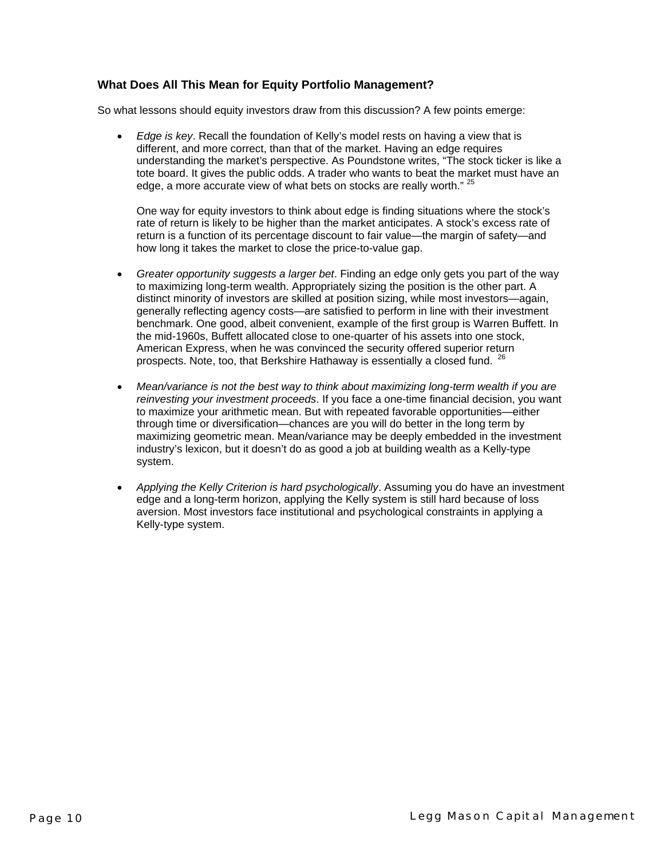#### **What Does All This Mean for Equity Portfolio Management?**

So what lessons should equity investors draw from this discussion? A few points emerge:

• *Edge is key*. Recall the foundation of Kelly's model rests on having a view that is different, and more correct, than that of the market. Having an edge requires understanding the market's perspective. As Poundstone writes, "The stock ticker is like a tote board. It gives the public odds. A trader who wants to beat the market must have an edge, a more accurate view of what bets on stocks are really worth." <sup>25</sup>

One way for equity investors to think about edge is finding situations where the stock's rate of return is likely to be higher than the market anticipates. A stock's excess rate of return is a function of its percentage discount to fair value—the margin of safety—and how long it takes the market to close the price-to-value gap.

- *Greater opportunity suggests a larger bet*. Finding an edge only gets you part of the way to maximizing long-term wealth. Appropriately sizing the position is the other part. A distinct minority of investors are skilled at position sizing, while most investors—again, generally reflecting agency costs—are satisfied to perform in line with their investment benchmark. One good, albeit convenient, example of the first group is Warren Buffett. In the mid-1960s, Buffett allocated close to one-quarter of his assets into one stock, American Express, when he was convinced the security offered superior return prospects. Note, too, that Berkshire Hathaway is essentially a closed fund. <sup>2</sup>
- *Mean/variance is not the best way to think about maximizing long-term wealth if you are reinvesting your investment proceeds*. If you face a one-time financial decision, you want to maximize your arithmetic mean. But with repeated favorable opportunities—either through time or diversification—chances are you will do better in the long term by maximizing geometric mean. Mean/variance may be deeply embedded in the investment industry's lexicon, but it doesn't do as good a job at building wealth as a Kelly-type system.
- *Applying the Kelly Criterion is hard psychologically*. Assuming you do have an investment edge and a long-term horizon, applying the Kelly system is still hard because of loss aversion. Most investors face institutional and psychological constraints in applying a Kelly-type system.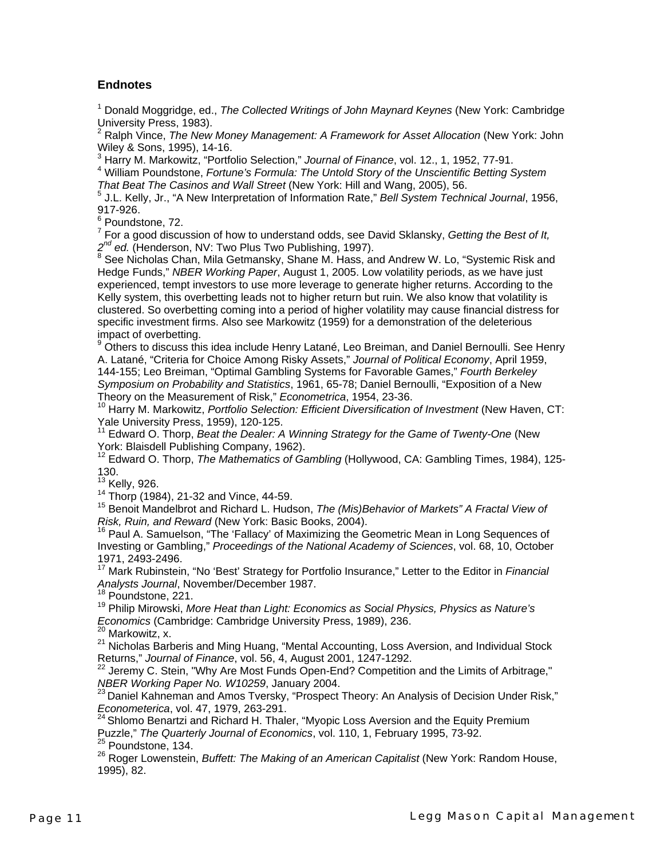#### **Endnotes**

1 Donald Moggridge, ed., *The Collected Writings of John Maynard Keynes* (New York: Cambridge

University Press, 1983).<br><sup>2</sup> Ralph Vince, *The New Money Management: A Framework for Asset Allocation* (New York: John Wiley & Sons, 1995), 14-16.

<sup>3</sup> Harry M. Markowitz, "Portfolio Selection," *Journal of Finance*, vol. 12., 1, 1952, 77-91.<br><sup>4</sup> William Poundstone, *Fortune's Formula: The Untold Story of the Unscientific Betting System That Beat The Casinos and Wall Street* (New York: Hill and Wang, 2005), 56.

 J.L. Kelly, Jr., "A New Interpretation of Information Rate," *Bell System Technical Journal*, 1956, 917-926.

<sup>6</sup> Poundstone, 72.

7 For a good discussion of how to understand odds, see David Sklansky, *Getting the Best of It,*  2<sup>nd</sup> ed. (Henderson, NV: Two Plus Two Publishing, 1997).

<sup>8</sup> See Nicholas Chan, Mila Getmansky, Shane M. Hass, and Andrew W. Lo, "Systemic Risk and Hedge Funds," *NBER Working Paper*, August 1, 2005. Low volatility periods, as we have just experienced, tempt investors to use more leverage to generate higher returns. According to the Kelly system, this overbetting leads not to higher return but ruin. We also know that volatility is clustered. So overbetting coming into a period of higher volatility may cause financial distress for specific investment firms. Also see Markowitz (1959) for a demonstration of the deleterious impact of overbetting.

<sup>9</sup> Others to discuss this idea include Henry Latané, Leo Breiman, and Daniel Bernoulli. See Henry A. Latané, "Criteria for Choice Among Risky Assets," *Journal of Political Economy*, April 1959, 144-155; Leo Breiman, "Optimal Gambling Systems for Favorable Games," *Fourth Berkeley Symposium on Probability and Statistics*, 1961, 65-78; Daniel Bernoulli, "Exposition of a New Theory on the Measurement of Risk," *Econometrica*, 1954, 23-36.

10 Harry M. Markowitz, *Portfolio Selection: Efficient Diversification of Investment* (New Haven, CT: Yale University Press, 1959), 120-125.

<sup>11</sup> Edward O. Thorp, *Beat the Dealer: A Winning Strategy for the Game of Twenty-One* (New York: Blaisdell Publishing Company, 1962).

<sup>12</sup> Edward O. Thorp, *The Mathematics of Gambling* (Hollywood, CA: Gambling Times, 1984), 125-130.<br><sup>13</sup> Kelly, 926.

14 Thorp (1984), 21-32 and Vince, 44-59.<br><sup>15</sup> Benoit Mandelbrot and Richard L. Hudson, *The (Mis)Behavior of Markets" A Fractal View of <br><i>Risk, Ruin, and Reward* (New York: Basic Books, 2004).

<sup>16</sup> Paul A. Samuelson, "The 'Fallacy' of Maximizing the Geometric Mean in Long Sequences of Investing or Gambling," *Proceedings of the National Academy of Sciences*, vol. 68, 10, October 1971, 2493-2496.<br><sup>17</sup> Mark Rubinstein, "No 'Best' Strategy for Portfolio Insurance," Letter to the Editor in *Financial* 

*Analysts Journal*, November/December 1987.

<sup>18</sup> Poundstone, 221.

19 Philip Mirowski, *More Heat than Light: Economics as Social Physics, Physics as Nature's Economics* (Cambridge: Cambridge University Press, 1989), 236.<br><sup>20</sup> Markowitz, x.

 $21$  Nicholas Barberis and Ming Huang, "Mental Accounting, Loss Aversion, and Individual Stock<br>Returns," Journal of Finance, vol. 56, 4, August 2001, 1247-1292.

<sup>22</sup> Jeremy C. Stein, "Why Are Most Funds Open-End? Competition and the Limits of Arbitrage,"

*NBER Working Paper No. W10259*, January 2004.<br><sup>23</sup> Daniel Kahneman and Amos Tversky, "Prospect Theory: An Analysis of Decision Under Risk,"<br>*Econometerica*, vol. 47, 1979, 263-291.

<sup>24</sup> Shlomo Benartzi and Richard H. Thaler, "Myopic Loss Aversion and the Equity Premium Puzzle," *The Quarterly Journal of Economics*, vol. 110, 1, February 1995, 73-92.<br><sup>25</sup> Poundstone, 134.

26 Roger Lowenstein, *Buffett: The Making of an American Capitalist* (New York: Random House, 1995), 82.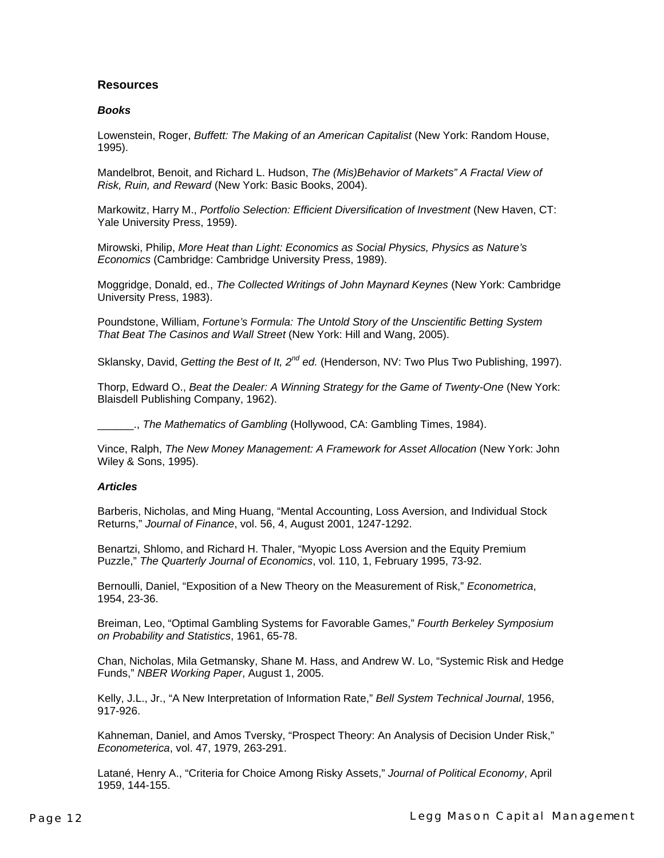#### **Resources**

#### *Books*

Lowenstein, Roger, *Buffett: The Making of an American Capitalist* (New York: Random House, 1995).

Mandelbrot, Benoit, and Richard L. Hudson, *The (Mis)Behavior of Markets" A Fractal View of Risk, Ruin, and Reward* (New York: Basic Books, 2004).

Markowitz, Harry M., *Portfolio Selection: Efficient Diversification of Investment* (New Haven, CT: Yale University Press, 1959).

Mirowski, Philip, *More Heat than Light: Economics as Social Physics, Physics as Nature's Economics* (Cambridge: Cambridge University Press, 1989).

Moggridge, Donald, ed., *The Collected Writings of John Maynard Keynes* (New York: Cambridge University Press, 1983).

Poundstone, William, *Fortune's Formula: The Untold Story of the Unscientific Betting System That Beat The Casinos and Wall Street* (New York: Hill and Wang, 2005).

Sklansky, David, *Getting the Best of It, 2<sup>nd</sup> ed.* (Henderson, NV: Two Plus Two Publishing, 1997).

Thorp, Edward O., *Beat the Dealer: A Winning Strategy for the Game of Twenty-One* (New York: Blaisdell Publishing Company, 1962).

\_\_\_\_\_\_., *The Mathematics of Gambling* (Hollywood, CA: Gambling Times, 1984).

Vince, Ralph, *The New Money Management: A Framework for Asset Allocation* (New York: John Wiley & Sons, 1995).

#### *Articles*

Barberis, Nicholas, and Ming Huang, "Mental Accounting, Loss Aversion, and Individual Stock Returns," *Journal of Finance*, vol. 56, 4, August 2001, 1247-1292.

Benartzi, Shlomo, and Richard H. Thaler, "Myopic Loss Aversion and the Equity Premium Puzzle," *The Quarterly Journal of Economics*, vol. 110, 1, February 1995, 73-92.

Bernoulli, Daniel, "Exposition of a New Theory on the Measurement of Risk," *Econometrica*, 1954, 23-36.

Breiman, Leo, "Optimal Gambling Systems for Favorable Games," *Fourth Berkeley Symposium on Probability and Statistics*, 1961, 65-78.

Chan, Nicholas, Mila Getmansky, Shane M. Hass, and Andrew W. Lo, "Systemic Risk and Hedge Funds," *NBER Working Paper*, August 1, 2005.

Kelly, J.L., Jr., "A New Interpretation of Information Rate," *Bell System Technical Journal*, 1956, 917-926.

Kahneman, Daniel, and Amos Tversky, "Prospect Theory: An Analysis of Decision Under Risk," *Econometerica*, vol. 47, 1979, 263-291.

Latané, Henry A., "Criteria for Choice Among Risky Assets," *Journal of Political Economy*, April 1959, 144-155.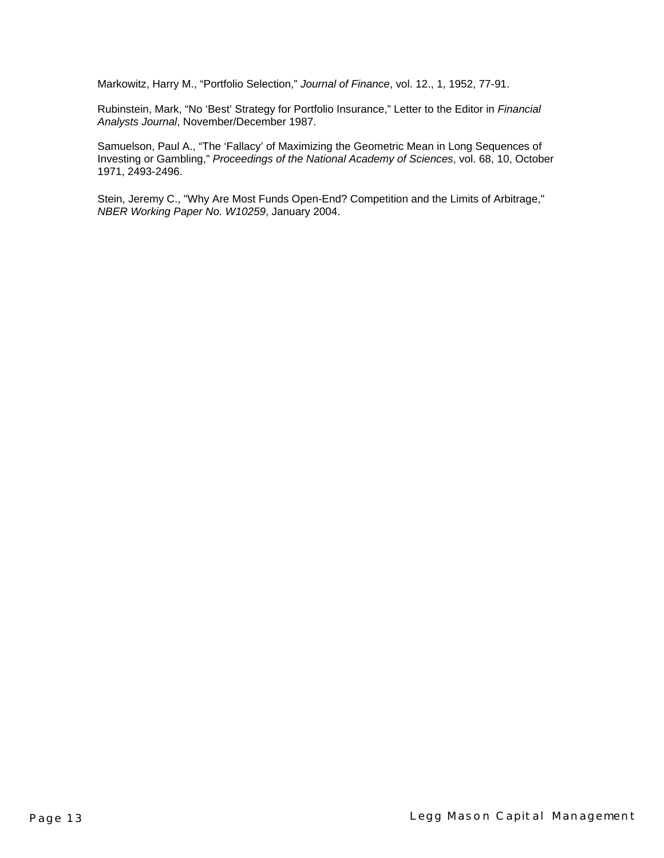Markowitz, Harry M., "Portfolio Selection," *Journal of Finance*, vol. 12., 1, 1952, 77-91.

Rubinstein, Mark, "No 'Best' Strategy for Portfolio Insurance," Letter to the Editor in *Financial Analysts Journal*, November/December 1987.

Samuelson, Paul A., "The 'Fallacy' of Maximizing the Geometric Mean in Long Sequences of Investing or Gambling," *Proceedings of the National Academy of Sciences*, vol. 68, 10, October 1971, 2493-2496.

Stein, Jeremy C., "Why Are Most Funds Open-End? Competition and the Limits of Arbitrage," *NBER Working Paper No. W10259*, January 2004.